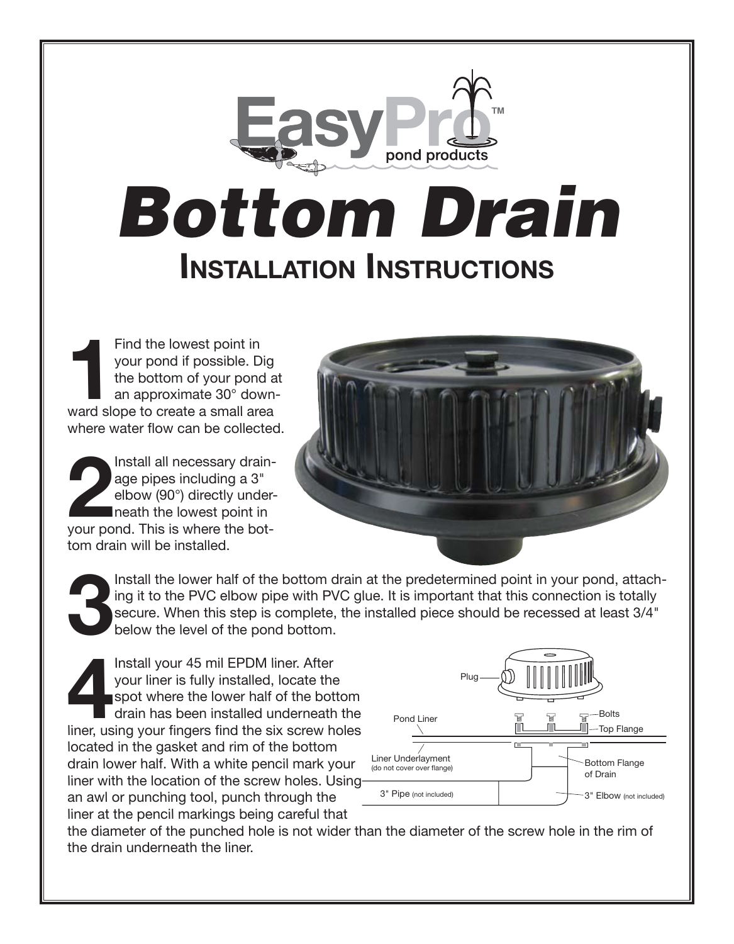## pond products *Bottom Drain* **Installation Instructions**

**1** Find the lowest point in your pond if possible. Dig the bottom of your pond at an approximate 30° downward slope to create a small area where water flow can be collected.

**2** Install all necessary drainage pipes including a 3" elbow (90°) directly underneath the lowest point in your pond. This is where the bottom drain will be installed.



**3** Install the lower half of the bottom drain at the predetermined point in your pond, attaching it to the PVC elbow pipe with PVC glue. It is important that this connection is totally secure. When this step is complete, the installed piece should be recessed at least 3/4" below the level of the pond bottom.

**4** Install your 45 mil EPDM liner. After your liner is fully installed, locate the spot where the lower half of the bottom drain has been installed underneath the liner, using your fingers find the six screw holes located in the gasket and rim of the bottom drain lower half. With a white pencil mark your liner with the location of the screw holes. Using an awl or punching tool, punch through the liner at the pencil markings being careful that



the diameter of the punched hole is not wider than the diameter of the screw hole in the rim of the drain underneath the liner.